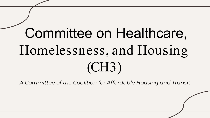# Committee on Healthcare, Homelessness, and Housing (CH3)

*A Committee of the Coalition for Affordable Housing and Transit*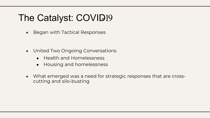## The Catalyst: COVID19

• Began with Tactical Responses

- United Two Ongoing Conversations
	- Health and Homelessness
	- Housing and homelessness
- What emerged was a need for strategic responses that are crosscutting and silo-busting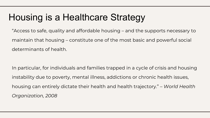## Housing is a Healthcare Strategy

"Access to safe, quality and affordable housing – and the supports necessary to maintain that housing – constitute one of the most basic and powerful social determinants of health.

In particular, for individuals and families trapped in a cycle of crisis and housing instability due to poverty, mental illness, addictions or chronic health issues, housing can entirely dictate their health and health trajectory." – *World Health Organization, 2008*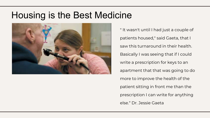#### Housing is the Best Medicine



" It wasn't until I had just a couple of patients housed," said Gaeta, that I saw this turnaround in their health. Basically I was seeing that if I could write a prescription for keys to an apartment that that was going to do more to improve the health of the patient sitting in front me than the prescription I can write for anything else." Dr. Jessie Gaeta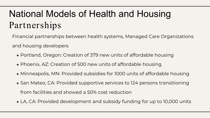# National Models of Health and Housing Partnerships

Financial partnerships between health systems, Managed Care Organizations and housing developers

- Portland, Oregon: Creation of 379 new units of affordable housing
- Phoenix, AZ: Creation of 500 new units of affordable housing
- Minneapolis, MN: Provided subsidies for 1000 units of affordable housing
- San Mateo, CA: Provided supportive services to 124 persons transitioning from facilities and showed a 50% cost reduction
- LA, CA: Provided development and subsidy funding for up to 10,000 units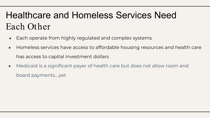# Healthcare and Homeless Services Need Each Other

- Each operate from highly regulated and complex systems
- Homeless services have access to affordable housing resources and health care has access to capital investment dollars
- Medicaid is a significant payer of health care but does not allow room and board payments….yet